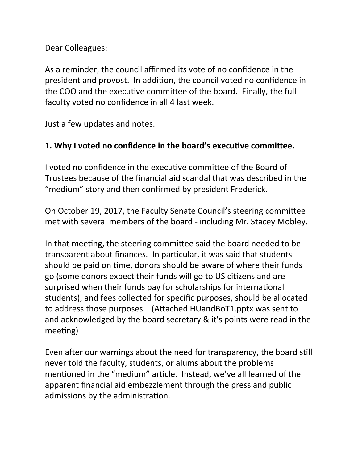Dear Colleagues:

As a reminder, the council affirmed its vote of no confidence in the president and provost. In addition, the council voted no confidence in the COO and the executive committee of the board. Finally, the full faculty voted no confidence in all 4 last week.

Just a few updates and notes.

### 1. Why I voted no confidence in the board's executive committee.

I voted no confidence in the executive committee of the Board of Trustees because of the financial aid scandal that was described in the "medium" story and then confirmed by president Frederick.

On October 19, 2017, the Faculty Senate Council's steering committee met with several members of the board - including Mr. Stacey Mobley.

In that meeting, the steering committee said the board needed to be transparent about finances. In particular, it was said that students should be paid on time, donors should be aware of where their funds go (some donors expect their funds will go to US citizens and are surprised when their funds pay for scholarships for international students), and fees collected for specific purposes, should be allocated to address those purposes. (Attached HUandBoT1.pptx was sent to and acknowledged by the board secretary & it's points were read in the meeting)

Even after our warnings about the need for transparency, the board still never told the faculty, students, or alums about the problems mentioned in the "medium" article. Instead, we've all learned of the apparent financial aid embezzlement through the press and public admissions by the administration.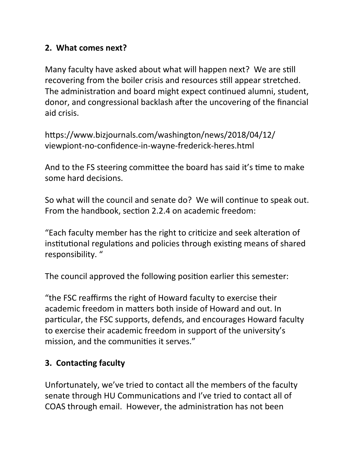### **2. What comes next?**

Many faculty have asked about what will happen next? We are still recovering from the boiler crisis and resources still appear stretched. The administration and board might expect continued alumni, student, donor, and congressional backlash after the uncovering of the financial aid crisis. 

https://www.bizjournals.com/washington/news/2018/04/12/ viewpiont-no-confidence-in-wayne-frederick-heres.html

And to the FS steering committee the board has said it's time to make some hard decisions.

So what will the council and senate do? We will continue to speak out. From the handbook, section 2.2.4 on academic freedom:

"Each faculty member has the right to criticize and seek alteration of institutional regulations and policies through existing means of shared responsibility. "

The council approved the following position earlier this semester:

"the FSC reaffirms the right of Howard faculty to exercise their academic freedom in matters both inside of Howard and out. In particular, the FSC supports, defends, and encourages Howard faculty to exercise their academic freedom in support of the university's mission, and the communities it serves."

## **3. Contacting faculty**

Unfortunately, we've tried to contact all the members of the faculty senate through HU Communications and I've tried to contact all of COAS through email. However, the administration has not been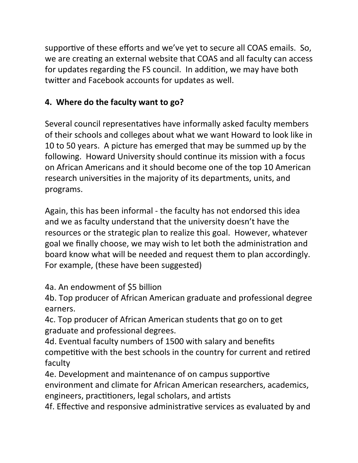supportive of these efforts and we've yet to secure all COAS emails. So, we are creating an external website that COAS and all faculty can access for updates regarding the FS council. In addition, we may have both twitter and Facebook accounts for updates as well.

# **4.** Where do the faculty want to go?

Several council representatives have informally asked faculty members of their schools and colleges about what we want Howard to look like in 10 to 50 years. A picture has emerged that may be summed up by the following. Howard University should continue its mission with a focus on African Americans and it should become one of the top 10 American research universities in the majority of its departments, units, and programs.

Again, this has been informal - the faculty has not endorsed this idea and we as faculty understand that the university doesn't have the resources or the strategic plan to realize this goal. However, whatever goal we finally choose, we may wish to let both the administration and board know what will be needed and request them to plan accordingly. For example, (these have been suggested)

4a. An endowment of \$5 billion

4b. Top producer of African American graduate and professional degree earners.

4c. Top producer of African American students that go on to get graduate and professional degrees.

4d. Eventual faculty numbers of 1500 with salary and benefits competitive with the best schools in the country for current and retired faculty

4e. Development and maintenance of on campus supportive environment and climate for African American researchers, academics, engineers, practitioners, legal scholars, and artists

4f. Effective and responsive administrative services as evaluated by and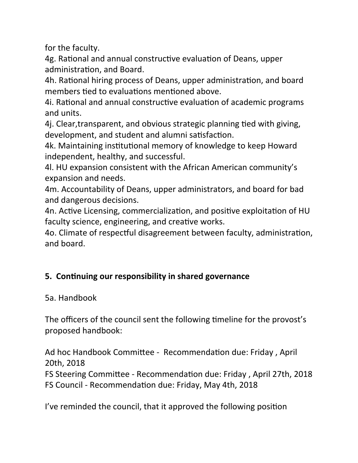for the faculty.

4g. Rational and annual constructive evaluation of Deans, upper administration, and Board.

4h. Rational hiring process of Deans, upper administration, and board members tied to evaluations mentioned above.

4i. Rational and annual constructive evaluation of academic programs and units.

4j. Clear, transparent, and obvious strategic planning tied with giving, development, and student and alumni satisfaction.

4k. Maintaining institutional memory of knowledge to keep Howard independent, healthy, and successful.

4. HU expansion consistent with the African American community's expansion and needs.

4m. Accountability of Deans, upper administrators, and board for bad and dangerous decisions.

4n. Active Licensing, commercialization, and positive exploitation of HU faculty science, engineering, and creative works.

4o. Climate of respectful disagreement between faculty, administration, and board.

## **5. Continuing our responsibility in shared governance**

5a. Handbook

The officers of the council sent the following timeline for the provost's proposed handbook:

Ad hoc Handbook Committee - Recommendation due: Friday, April 20th, 2018

FS Steering Committee - Recommendation due: Friday, April 27th, 2018 FS Council - Recommendation due: Friday, May 4th, 2018

I've reminded the council, that it approved the following position